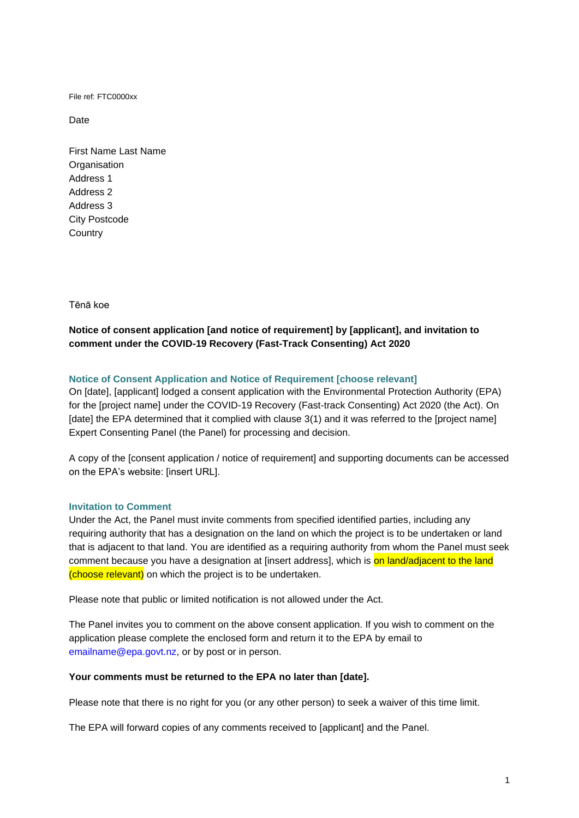File ref: FTC0000xx

Date

First Name Last Name **Organisation** Address 1 Address 2 Address 3 City Postcode **Country** 

Tēnā koe

# **Notice of consent application [and notice of requirement] by [applicant], and invitation to comment under the COVID-19 Recovery (Fast-Track Consenting) Act 2020**

## **Notice of Consent Application and Notice of Requirement [choose relevant]**

On [date], [applicant] lodged a consent application with the Environmental Protection Authority (EPA) for the [project name] under the COVID-19 Recovery (Fast-track Consenting) Act 2020 (the Act). On [date] the EPA determined that it complied with clause 3(1) and it was referred to the [project name] Expert Consenting Panel (the Panel) for processing and decision.

A copy of the [consent application / notice of requirement] and supporting documents can be accessed on the EPA's website: [insert URL].

## **Invitation to Comment**

Under the Act, the Panel must invite comments from specified identified parties, including any requiring authority that has a designation on the land on which the project is to be undertaken or land that is adjacent to that land. You are identified as a requiring authority from whom the Panel must seek comment because you have a designation at [insert address], which is on land/adjacent to the land (choose relevant) on which the project is to be undertaken.

Please note that public or limited notification is not allowed under the Act.

The Panel invites you to comment on the above consent application. If you wish to comment on the application please complete the enclosed form and return it to the EPA by email to [emailname@epa.govt.nz,](mailto:emailname@epa.govt.nz) or by post or in person.

#### **Your comments must be returned to the EPA no later than [date].**

Please note that there is no right for you (or any other person) to seek a waiver of this time limit.

The EPA will forward copies of any comments received to [applicant] and the Panel.